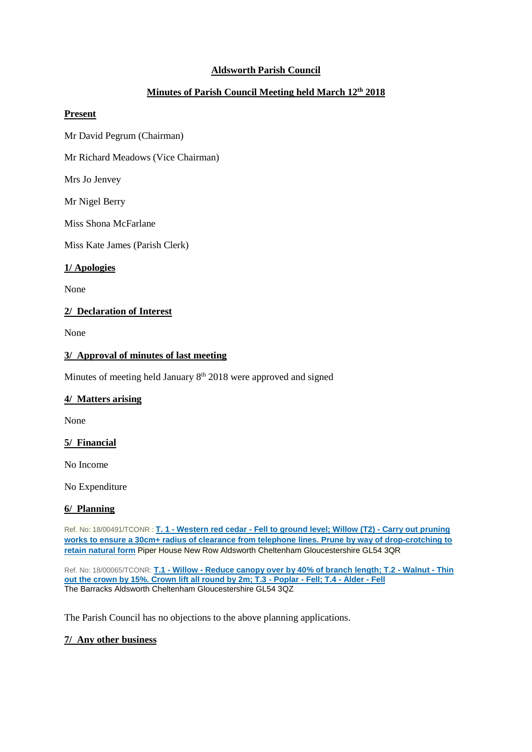# **Aldsworth Parish Council**

# **Minutes of Parish Council Meeting held March 12th 2018**

### **Present**

Mr David Pegrum (Chairman)

Mr Richard Meadows (Vice Chairman)

Mrs Jo Jenvey

Mr Nigel Berry

Miss Shona McFarlane

Miss Kate James (Parish Clerk)

### **1/ Apologies**

None

## **2/ Declaration of Interest**

None

### **3/ Approval of minutes of last meeting**

Minutes of meeting held January 8<sup>th</sup> 2018 were approved and signed

#### **4/ Matters arising**

None

#### **5/ Financial**

No Income

No Expenditure

#### **6/ Planning**

Ref. No: 18/00491/TCONR : **T. 1 - Western red cedar - [Fell to ground level; Willow \(T2\) -](https://publicaccess.cotswold.gov.uk/online-applications/applicationDetails.do?activeTab=summary&keyVal=P3RSWBFIM1Y00) Carry out pruning [works to ensure a 30cm+ radius of clearance from telephone lines. Prune by way of drop-crotching to](https://publicaccess.cotswold.gov.uk/online-applications/applicationDetails.do?activeTab=summary&keyVal=P3RSWBFIM1Y00)  [retain natural form](https://publicaccess.cotswold.gov.uk/online-applications/applicationDetails.do?activeTab=summary&keyVal=P3RSWBFIM1Y00)** Piper House New Row Aldsworth Cheltenham Gloucestershire GL54 3QR

Ref. No: 18/00065/TCONR: **T.1 - Willow - [Reduce canopy over by 40% of branch length; T.2 -](https://publicaccess.cotswold.gov.uk/online-applications/applicationDetails.do?activeTab=summary&keyVal=P28BSRFI02V00) Walnut - Thin [out the crown by 15%. Crown lift all round by 2m; T.3 -](https://publicaccess.cotswold.gov.uk/online-applications/applicationDetails.do?activeTab=summary&keyVal=P28BSRFI02V00) Poplar - Fell; T.4 - Alder - Fell** The Barracks Aldsworth Cheltenham Gloucestershire GL54 3QZ

The Parish Council has no objections to the above planning applications.

## **7/ Any other business**